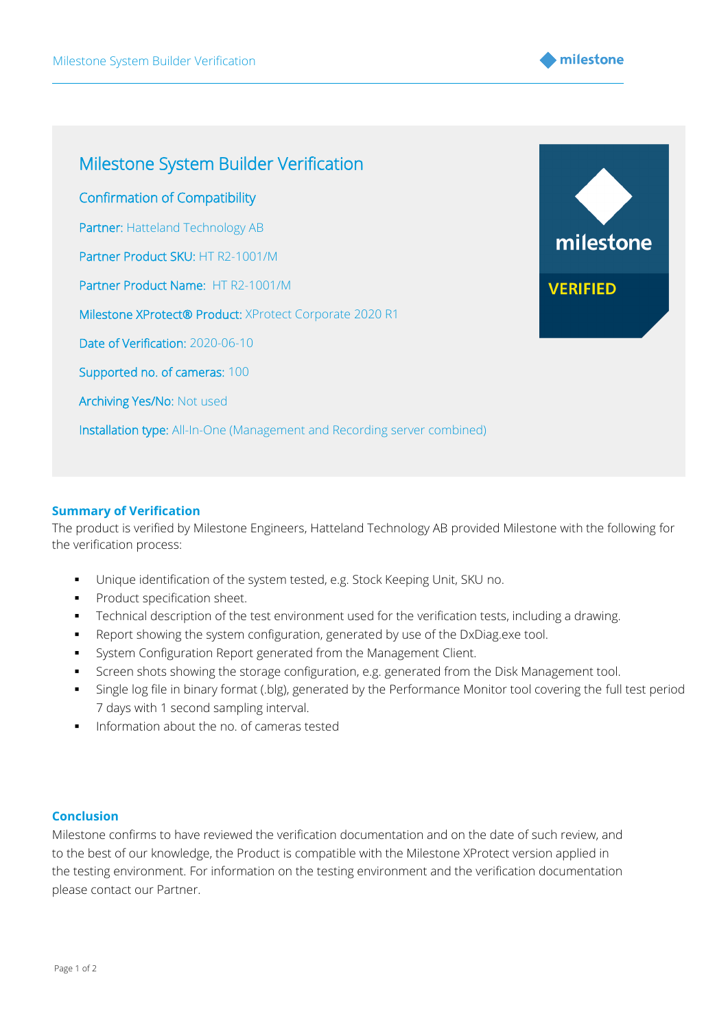



## **Summary of Verification**

The product is verified by Milestone Engineers, Hatteland Technology AB provided Milestone with the following for the verification process:

- Unique identification of the system tested, e.g. Stock Keeping Unit, SKU no.
- Product specification sheet.
- **•** Technical description of the test environment used for the verification tests, including a drawing.
- Report showing the system configuration, generated by use of the DxDiag.exe tool.
- **•** System Configuration Report generated from the Management Client.
- **•** Screen shots showing the storage configuration, e.g. generated from the Disk Management tool.
- Single log file in binary format (.blg), generated by the Performance Monitor tool covering the full test period 7 days with 1 second sampling interval.
- **•** Information about the no. of cameras tested

## **Conclusion**

Milestone confirms to have reviewed the verification documentation and on the date of such review, and to the best of our knowledge, the Product is compatible with the Milestone XProtect version applied in the testing environment. For information on the testing environment and the verification documentation please contact our Partner.